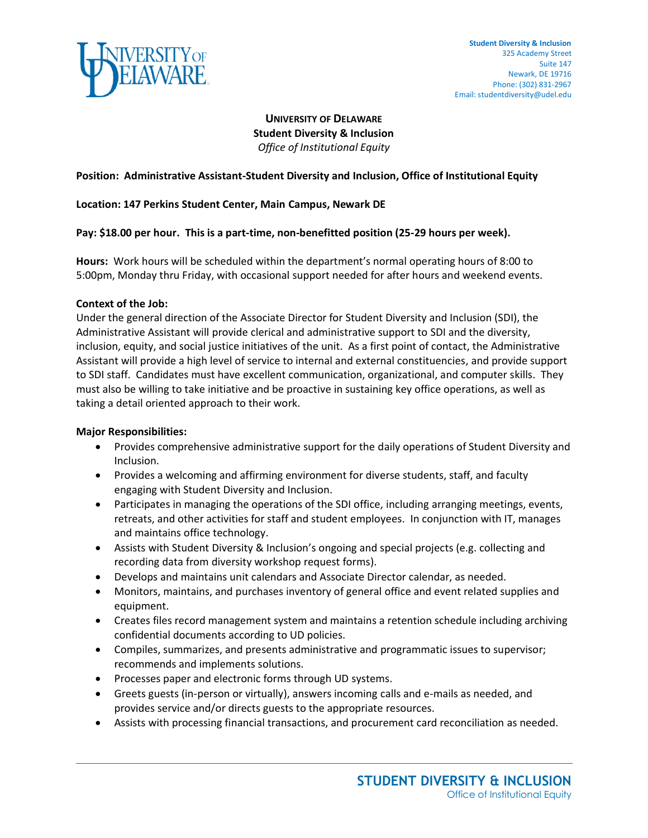

# **UNIVERSITY OF DELAWARE Student Diversity & Inclusion** *Office of Institutional Equity*

## **Position: Administrative Assistant-Student Diversity and Inclusion, Office of Institutional Equity**

### **Location: 147 Perkins Student Center, Main Campus, Newark DE**

#### **Pay: \$18.00 per hour. This is a part-time, non-benefitted position (25-29 hours per week).**

**Hours:** Work hours will be scheduled within the department's normal operating hours of 8:00 to 5:00pm, Monday thru Friday, with occasional support needed for after hours and weekend events.

#### **Context of the Job:**

Under the general direction of the Associate Director for Student Diversity and Inclusion (SDI), the Administrative Assistant will provide clerical and administrative support to SDI and the diversity, inclusion, equity, and social justice initiatives of the unit. As a first point of contact, the Administrative Assistant will provide a high level of service to internal and external constituencies, and provide support to SDI staff. Candidates must have excellent communication, organizational, and computer skills. They must also be willing to take initiative and be proactive in sustaining key office operations, as well as taking a detail oriented approach to their work.

#### **Major Responsibilities:**

- Provides comprehensive administrative support for the daily operations of Student Diversity and Inclusion.
- Provides a welcoming and affirming environment for diverse students, staff, and faculty engaging with Student Diversity and Inclusion.
- Participates in managing the operations of the SDI office, including arranging meetings, events, retreats, and other activities for staff and student employees. In conjunction with IT, manages and maintains office technology.
- Assists with Student Diversity & Inclusion's ongoing and special projects (e.g. collecting and recording data from diversity workshop request forms).
- Develops and maintains unit calendars and Associate Director calendar, as needed.
- Monitors, maintains, and purchases inventory of general office and event related supplies and equipment.
- Creates files record management system and maintains a retention schedule including archiving confidential documents according to UD policies.
- Compiles, summarizes, and presents administrative and programmatic issues to supervisor; recommends and implements solutions.
- Processes paper and electronic forms through UD systems.
- Greets guests (in-person or virtually), answers incoming calls and e-mails as needed, and provides service and/or directs guests to the appropriate resources.
- Assists with processing financial transactions, and procurement card reconciliation as needed.